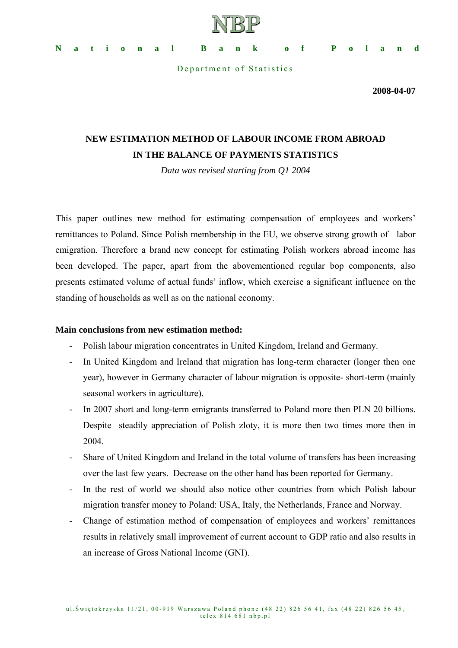

**National Bank of Poland** 

Department of Statistics

**2008-04-07** 

# **NEW ESTIMATION METHOD OF LABOUR INCOME FROM ABROAD IN THE BALANCE OF PAYMENTS STATISTICS**

*Data was revised starting from Q1 2004* 

This paper outlines new method for estimating compensation of employees and workers' remittances to Poland. Since Polish membership in the EU, we observe strong growth of labor emigration. Therefore a brand new concept for estimating Polish workers abroad income has been developed. The paper, apart from the abovementioned regular bop components, also presents estimated volume of actual funds' inflow, which exercise a significant influence on the standing of households as well as on the national economy.

# **Main conclusions from new estimation method:**

- Polish labour migration concentrates in United Kingdom, Ireland and Germany.
- In United Kingdom and Ireland that migration has long-term character (longer then one year), however in Germany character of labour migration is opposite- short-term (mainly seasonal workers in agriculture).
- In 2007 short and long-term emigrants transferred to Poland more then PLN 20 billions. Despite steadily appreciation of Polish zloty, it is more then two times more then in 2004.
- Share of United Kingdom and Ireland in the total volume of transfers has been increasing over the last few years. Decrease on the other hand has been reported for Germany.
- In the rest of world we should also notice other countries from which Polish labour migration transfer money to Poland: USA, Italy, the Netherlands, France and Norway.
- Change of estimation method of compensation of employees and workers' remittances results in relatively small improvement of current account to GDP ratio and also results in an increase of Gross National Income (GNI).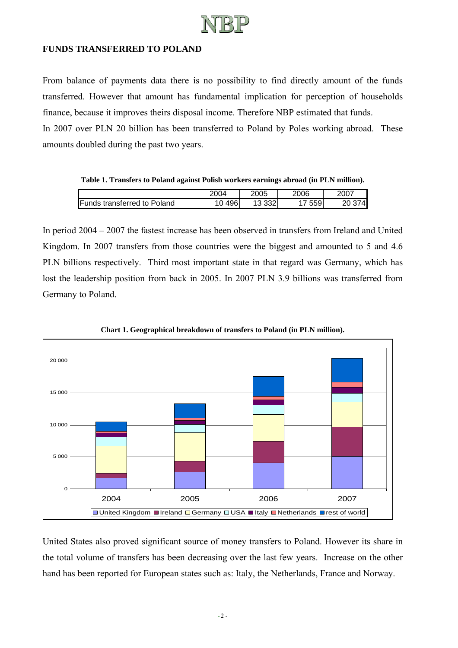

## **FUNDS TRANSFERRED TO POLAND**

From balance of payments data there is no possibility to find directly amount of the funds transferred. However that amount has fundamental implication for perception of households finance, because it improves theirs disposal income. Therefore NBP estimated that funds. In 2007 over PLN 20 billion has been transferred to Poland by Poles working abroad. These amounts doubled during the past two years.

**Table 1. Transfers to Poland against Polish workers earnings abroad (in PLN million).** 

|                                                | 2004          | 2005                                           | 2006        | 2007 |
|------------------------------------------------|---------------|------------------------------------------------|-------------|------|
| Funds<br><sup>≀</sup> to Poland<br>transferred | 496<br>$\sim$ | $\sim$<br>$\overline{\phantom{a}}$<br>ےںں<br>. | 550<br>ບບວ≀ | 74   |

In period 2004 – 2007 the fastest increase has been observed in transfers from Ireland and United Kingdom. In 2007 transfers from those countries were the biggest and amounted to 5 and 4.6 PLN billions respectively. Third most important state in that regard was Germany, which has lost the leadership position from back in 2005. In 2007 PLN 3.9 billions was transferred from Germany to Poland.



**Chart 1. Geographical breakdown of transfers to Poland (in PLN million).** 

United States also proved significant source of money transfers to Poland. However its share in the total volume of transfers has been decreasing over the last few years. Increase on the other hand has been reported for European states such as: Italy, the Netherlands, France and Norway.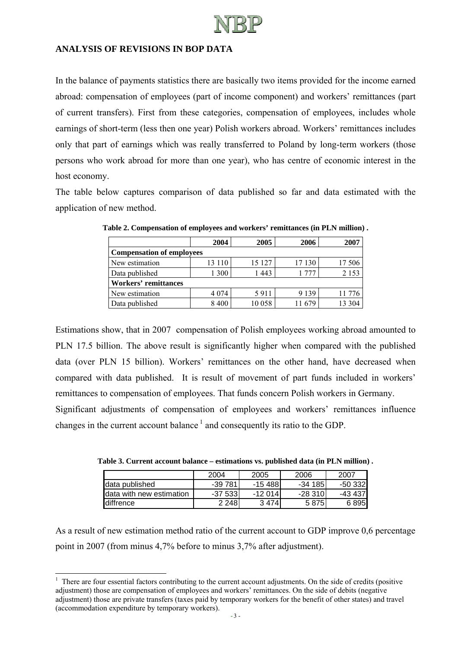

# **ANALYSIS OF REVISIONS IN BOP DATA**

In the balance of payments statistics there are basically two items provided for the income earned abroad: compensation of employees (part of income component) and workers' remittances (part of current transfers). First from these categories, compensation of employees, includes whole earnings of short-term (less then one year) Polish workers abroad. Workers' remittances includes only that part of earnings which was really transferred to Poland by long-term workers (those persons who work abroad for more than one year), who has centre of economic interest in the host economy.

The table below captures comparison of data published so far and data estimated with the application of new method.

|                                  | 2004    | 2005   | 2006    | 2007    |  |  |
|----------------------------------|---------|--------|---------|---------|--|--|
| <b>Compensation of employees</b> |         |        |         |         |  |  |
| New estimation                   | 13 110  | 15 127 | 17 130  | 17 506  |  |  |
| Data published                   | 1 300   | 1443   | -777    | 2 1 5 3 |  |  |
| <b>Workers' remittances</b>      |         |        |         |         |  |  |
| New estimation                   | 4 0 7 4 | 5911   | 9 1 3 9 | 11 776  |  |  |
| Data published                   | 8400    | 10058  | 679     | 13 304  |  |  |

**Table 2. Compensation of employees and workers' remittances (in PLN million) .** 

Estimations show, that in 2007 compensation of Polish employees working abroad amounted to PLN 17.5 billion. The above result is significantly higher when compared with the published data (over PLN 15 billion). Workers' remittances on the other hand, have decreased when compared with data published. It is result of movement of part funds included in workers' remittances to compensation of employees. That funds concern Polish workers in Germany. Significant adjustments of compensation of employees and workers' remittances influence changes in the current account balance  $<sup>1</sup>$  and consequently its ratio to the GDP.</sup>

|                           | 2004      | 2005      | 2006    | 2007     |
|---------------------------|-----------|-----------|---------|----------|
| Idata published           | -39 781   | $-15,488$ | -34 185 | $-50332$ |
| Idata with new estimation | $-37533$  | $-12014$  | -28 310 | -43 437  |
| <b>Idiffrence</b>         | 2 2 4 8 1 | 3474      | 58751   | 6895     |

**Table 3. Current account balance – estimations vs. published data (in PLN million) .** 

As a result of new estimation method ratio of the current account to GDP improve 0,6 percentage point in 2007 (from minus 4,7% before to minus 3,7% after adjustment).

<sup>&</sup>lt;sup>1</sup> There are four essential factors contributing to the current account adjustments. On the side of credits (positive adjustment) those are compensation of employees and workers' remittances. On the side of debits (negative adjustment) those are private transfers (taxes paid by temporary workers for the benefit of other states) and travel (accommodation expenditure by temporary workers).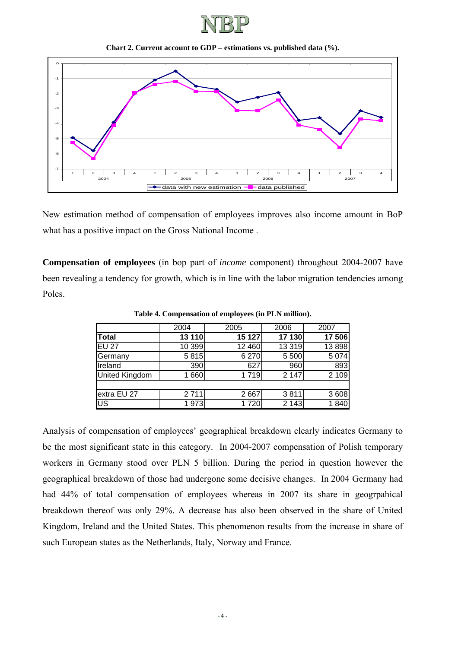

**Chart 2. Current account to GDP – estimations vs. published data (%).** 



New estimation method of compensation of employees improves also income amount in BoP what has a positive impact on the Gross National Income .

**Compensation of employees** (in bop part of *income* component) throughout 2004-2007 have been revealing a tendency for growth, which is in line with the labor migration tendencies among Poles.

|                       | 2004   | 2005    | 2006    | 2007    |
|-----------------------|--------|---------|---------|---------|
| <b>Total</b>          | 13 110 | 15 127  | 17 130  | 17 506  |
| <b>EU 27</b>          | 10 399 | 12 460  | 13 3 19 | 13898   |
| Germany               | 5815   | 6 270   | 5 500   | 5 0 7 4 |
| Ireland               | 390    | 627     | 960     | 893     |
| <b>United Kingdom</b> | 1660   | 1 7 1 9 | 2 1 4 7 | 2 1 0 9 |
|                       |        |         |         |         |
| extra EU 27           | 2711   | 2 6 6 7 | 3811    | 3 608   |
| US                    | 1973   | 1 7 2 0 | 2 1 4 3 | 1840    |

**Table 4. Compensation of employees (in PLN million).** 

Analysis of compensation of employees' geographical breakdown clearly indicates Germany to be the most significant state in this category. In 2004-2007 compensation of Polish temporary workers in Germany stood over PLN 5 billion. During the period in question however the geographical breakdown of those had undergone some decisive changes. In 2004 Germany had had 44% of total compensation of employees whereas in 2007 its share in geogrpahical breakdown thereof was only 29%. A decrease has also been observed in the share of United Kingdom, Ireland and the United States. This phenomenon results from the increase in share of such European states as the Netherlands, Italy, Norway and France.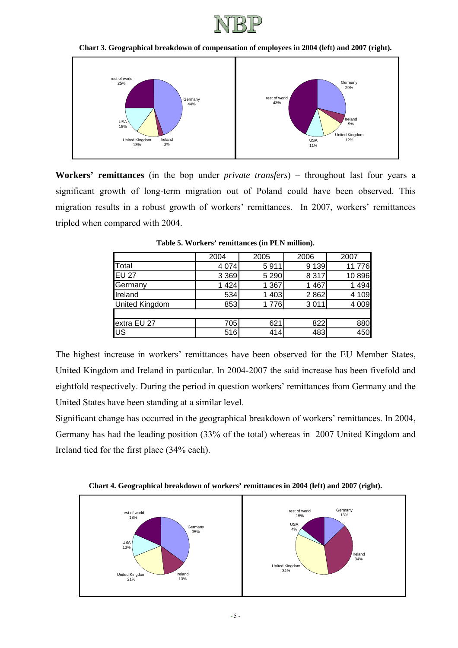

#### **Chart 3. Geographical breakdown of compensation of employees in 2004 (left) and 2007 (right).**



**Workers' remittances** (in the bop under *private transfers*) – throughout last four years a significant growth of long-term migration out of Poland could have been observed. This migration results in a robust growth of workers' remittances. In 2007, workers' remittances tripled when compared with 2004.

|                       | 2004    | 2005    | 2006    | 2007    |
|-----------------------|---------|---------|---------|---------|
| <b>T</b> otal         | 4 0 7 4 | 5911    | 9 1 3 9 | 11776   |
| <b>IEU 27</b>         | 3 3 6 9 | 5 2 9 0 | 8 3 1 7 | 10896   |
| Germany               | 1 4 2 4 | 1 3 6 7 | 467     | 494     |
| Ireland               | 534     | 1 4 0 3 | 2862    | 4 109   |
| <b>United Kingdom</b> | 853     | 1776    | 3011    | 4 0 0 9 |
|                       |         |         |         |         |
| extra EU 27           | 705     | 621     | 822     | 880     |
| l∪s                   | 516     | 414     | 483     | 450     |

**Table 5. Workers' remittances (in PLN million).** 

The highest increase in workers' remittances have been observed for the EU Member States, United Kingdom and Ireland in particular. In 2004-2007 the said increase has been fivefold and eightfold respectively. During the period in question workers' remittances from Germany and the United States have been standing at a similar level.

Significant change has occurred in the geographical breakdown of workers' remittances. In 2004, Germany has had the leading position (33% of the total) whereas in 2007 United Kingdom and Ireland tied for the first place (34% each).



**Chart 4. Geographical breakdown of workers' remittances in 2004 (left) and 2007 (right).**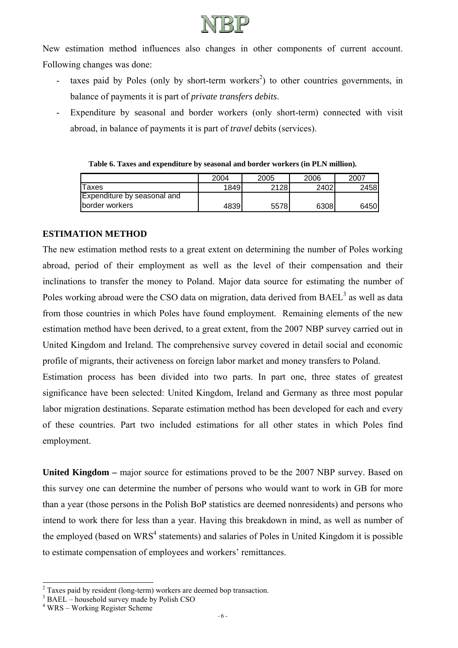

New estimation method influences also changes in other components of current account. Following changes was done:

- taxes paid by Poles (only by short-term workers<sup>2</sup>) to other countries governments, in balance of payments it is part of *private transfers debits*.
- Expenditure by seasonal and border workers (only short-term) connected with visit abroad, in balance of payments it is part of *travel* debits (services).

**Table 6. Taxes and expenditure by seasonal and border workers (in PLN million).** 

|                                    | 2004 | 2005 | 2006 | 2007  |
|------------------------------------|------|------|------|-------|
| Taxes                              | 1849 | 2128 | 2402 | 2458I |
| <b>Expenditure by seasonal and</b> |      |      |      |       |
| <b>Iborder workers</b>             | 4839 | 5578 | 6308 | 6450  |

## **ESTIMATION METHOD**

The new estimation method rests to a great extent on determining the number of Poles working abroad, period of their employment as well as the level of their compensation and their inclinations to transfer the money to Poland. Major data source for estimating the number of Poles working abroad were the CSO data on migration, data derived from  $BAEL<sup>3</sup>$  as well as data from those countries in which Poles have found employment. Remaining elements of the new estimation method have been derived, to a great extent, from the 2007 NBP survey carried out in United Kingdom and Ireland. The comprehensive survey covered in detail social and economic profile of migrants, their activeness on foreign labor market and money transfers to Poland.

Estimation process has been divided into two parts. In part one, three states of greatest significance have been selected: United Kingdom, Ireland and Germany as three most popular labor migration destinations. Separate estimation method has been developed for each and every of these countries. Part two included estimations for all other states in which Poles find employment.

United Kingdom – major source for estimations proved to be the 2007 NBP survey. Based on this survey one can determine the number of persons who would want to work in GB for more than a year (those persons in the Polish BoP statistics are deemed nonresidents) and persons who intend to work there for less than a year. Having this breakdown in mind, as well as number of the employed (based on WRS<sup>4</sup> statements) and salaries of Poles in United Kingdom it is possible to estimate compensation of employees and workers' remittances.

l

 $2$  Taxes paid by resident (long-term) workers are deemed bop transaction.

<sup>&</sup>lt;sup>3</sup> BAEL – household survey made by Polish CSO

<sup>4</sup> WRS – Working Register Scheme